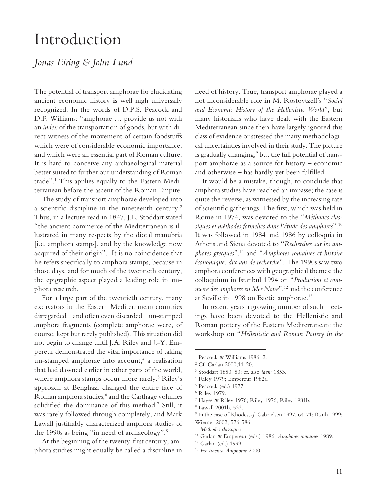## Introduction

## *Jonas Eiring & John Lund*

The potential of transport amphorae for elucidating ancient economic history is well nigh universally recognized. In the words of D.P.S. Peacock and D.F. Williams: "amphorae … provide us not with an *index* of the transportation of goods, but with direct witness of the movement of certain foodstuffs which were of considerable economic importance, and which were an essential part of Roman culture. It is hard to conceive any archaeological material better suited to further our understanding of Roman trade".1 This applies equally to the Eastern Mediterranean before the ascent of the Roman Empire.

The study of transport amphorae developed into a scientific discipline in the nineteenth century.<sup>2</sup> Thus, in a lecture read in 1847, J.L. Stoddart stated "the ancient commerce of the Mediterranean is illustrated in many respects by the diotal manubria [i.e. amphora stamps], and by the knowledge now acquired of their origin".<sup>3</sup> It is no coincidence that he refers specifically to amphora stamps, because in those days, and for much of the twentieth century, the epigraphic aspect played a leading role in amphora research.

For a large part of the twentieth century, many excavators in the Eastern Mediterranean countries disregarded – and often even discarded – un-stamped amphora fragments (complete amphorae were, of course, kept but rarely published). This situation did not begin to change until J.A. Riley and J.-Y. Empereur demonstrated the vital importance of taking un-stamped amphorae into account,<sup>4</sup> a realisation that had dawned earlier in other parts of the world, where amphora stamps occur more rarely.<sup>5</sup> Riley's approach at Benghazi changed the entire face of Roman amphora studies,<sup>6</sup> and the Carthage volumes solidified the dominance of this method.<sup>7</sup> Still, it was rarely followed through completely, and Mark Lawall justifiably characterized amphora studies of the 1990s as being "in need of archaeology".8

At the beginning of the twenty-first century, amphora studies might equally be called a discipline in need of history. True, transport amphorae played a not inconsiderable role in M. Rostovtzeff's "*Social and Economic History of the Hellenistic World*", but many historians who have dealt with the Eastern Mediterranean since then have largely ignored this class of evidence or stressed the many methodological uncertainties involved in their study. The picture is gradually changing,<sup>9</sup> but the full potential of transport amphorae as a source for history – economic and otherwise - has hardly yet been fulfilled.

It would be a mistake, though, to conclude that amphora studies have reached an impasse; the case is quite the reverse, as witnessed by the increasing rate of scientific gatherings. The first, which was held in Rome in 1974, was devoted to the "*Méthodes classiques et méthodes formelles dans l'étude des amphores*".10 It was followed in 1984 and 1986 by colloquia in Athens and Siena devoted to "*Recherches sur les amphores grecques*",<sup>11</sup> and "*Amphores romaines et histoire économique: dix ans de recherche*". The 1990s saw two amphora conferences with geographical themes: the colloquium in Istanbul 1994 on "*Production et commerce des amphores en Mer Noire*",<sup>12</sup> and the conference at Seville in 1998 on Baetic amphorae.<sup>13</sup>

In recent years a growing number of such meetings have been devoted to the Hellenistic and Roman pottery of the Eastern Mediterranean: the workshop on "*Hellenistic and Roman Pottery in the* 

<sup>1</sup> Peacock & Williams 1986, 2.

<sup>2</sup> Cf. Garlan 2000,11-20.

<sup>3</sup> Stoddart 1850, 50; cf. also *idem* 1853.

<sup>4</sup> Riley 1979; Empereur 1982a.

<sup>5</sup> Peacock (ed.) 1977.

<sup>6</sup> Riley 1979.

<sup>7</sup> Hayes & Riley 1976; Riley 1976; Riley 1981b.

<sup>8</sup> Lawall 2001b, 533.

<sup>9</sup> In the case of Rhodes, *cf*. Gabrielsen 1997, 64-71; Rauh 1999; Wiemer 2002, 576-586.

<sup>10</sup> *Méthodes classiques.*

<sup>11</sup> Garlan & Empereur (eds.) 1986; *Amphores romaines* 1989.

<sup>12</sup> Garlan (ed.) 1999.

<sup>13</sup> *Ex Baetica Amphorae* 2000.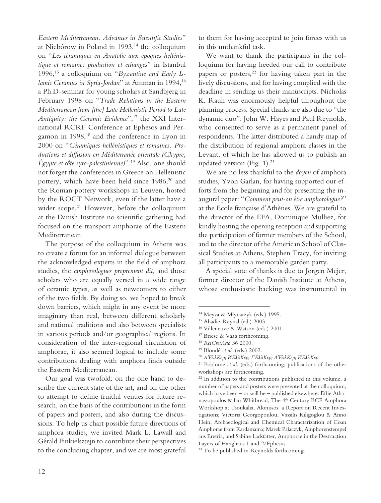Eastern Mediterranean. Advances in Scientific Studies" at Niebórow in Poland in 1993,<sup>14</sup> the colloquium on "*Les céramiques en Anatolie aux époques hellénistique et romaine: production et echanges*" in Istanbul 1996,15 a colloquium on "*Byzantine and Early Is*lamic Ceramics in Syria-Jordan" at Amman in 1994,<sup>16</sup> a Ph.D-seminar for young scholars at Sandbjerg in February 1998 on "*Trade Relations in the Eastern Mediterranean from [the] Late Hellenistic Period to Late Antiquity: the Ceramic Evidence*",17 the XXI International RCRF Conference at Ephesos and Pergamon in 1998,<sup>18</sup> and the conference in Lyon in 2000 on "*Céramiques hellénistiques et romaines. Productions et diffusion en Méditerranée orientale (Chypre, Égypte et côte syro-palestinienne)*".19 Also, one should not forget the conferences in Greece on Hellenistic pottery, which have been held since 1986,<sup>20</sup> and the Roman pottery workshops in Leuven, hosted by the ROCT Network, even if the latter have a wider scope.<sup>21</sup> However, before the colloquium at the Danish Institute no scientific gathering had focused on the transport amphorae of the Eastern Mediterranean.

The purpose of the colloquium in Athens was to create a forum for an informal dialogue between the acknowledged experts in the field of amphora studies, the *amphorologues proprement dit,* and those scholars who are equally versed in a wide range of ceramic types, as well as newcomers to either of the two fields. By doing so, we hoped to break down barriers, which might in any event be more imaginary than real, between different scholarly and national traditions and also between specialists in various periods and/or geographical regions. In consideration of the inter-regional circulation of amphorae, it also seemed logical to include some contributions dealing with amphora finds outside the Eastern Mediterranean.

Our goal was twofold: on the one hand to describe the current state of the art, and on the other to attempt to define fruitful venues for future research, on the basis of the contributions in the form of papers and posters, and also during the discussions. To help us chart possible future directions of amphora studies, we invited Mark L. Lawall and Gérald Finkielsztejn to contribute their perspectives to the concluding chapter, and we are most grateful

to them for having accepted to join forces with us in this unthankful task.

We want to thank the participants in the colloquium for having heeded our call to contribute papers or posters, $2^2$  for having taken part in the lively discussions, and for having complied with the deadline in sending us their manuscripts. Nicholas K. Rauh was enormously helpful throughout the planning process. Special thanks are also due to "the dynamic duo": John W. Hayes and Paul Reynolds, who consented to serve as a permanent panel of respondents. The latter distributed a handy map of the distribution of regional amphora classes in the Levant, of which he has allowed us to publish an updated version (Fig. 1).23

We are no less thankful to the *doyen* of amphora studies, Yvon Garlan, for having supported our efforts from the beginning and for presenting the inaugural paper: "*Comment peut-on être amphorologue?*" at the Ecole française d'Athènes. We are grateful to the director of the EFA, Dominique Mulliez, for kindly hosting the opening reception and supporting the participation of former members of the School, and to the director of the American School of Classical Studies at Athens, Stephen Tracy, for inviting all participants to a memorable garden party.

A special vote of thanks is due to Jørgen Mejer, former director of the Danish Institute at Athens, whose enthusiastic backing was instrumental in

<sup>14</sup> Meyza & Młynarzyk (eds.) 1995.

<sup>15</sup> Abadie-Reynal (ed.) 2003.

<sup>16</sup> Villeneuve & Watson (eds.) 2001.

<sup>17</sup> Briese & Vaag forthcoming.

<sup>18</sup> *ReiCretActa* 36 2000.

<sup>19</sup> Blondé *et al*. (eds.) 2002.

<sup>20</sup> *Α'ΕλλΚερ; Β'ΕλλΚερ; Γ'ΕλλΚερ; Δ'ΕλλΚερ; Ε'ΕλλΚερ.*

<sup>&</sup>lt;sup>21</sup> Poblome *et al.* (eds.) forthcoming; publications of the other workshops are forthcoming.

<sup>&</sup>lt;sup>22</sup> In addition to the contributions published in this volume, a number of papers and posters were presented at the colloquium, which have been – or will be – published elsewhere: Effie Athanassopoulos & Ian Whitbread, The 4<sup>th</sup> Century BCE Amphora Workshop at Tsoukalia, Alonissos: a Report on Recent Investigations; Victoria Georgopoulou, Vassilis Kiligoglou & Anno Hein, Archaeological and Chemical Charactarization of Coan Amphorae from Kardamaina; Marek Palaczyk, Amphorenstempel aus Eretria, and Sabine Ladstätter, Amphorae in the Destruction Layers of Hanghaus 1 and 2/Ephesus.

<sup>&</sup>lt;sup>23</sup> To be published in Reynolds forthcoming.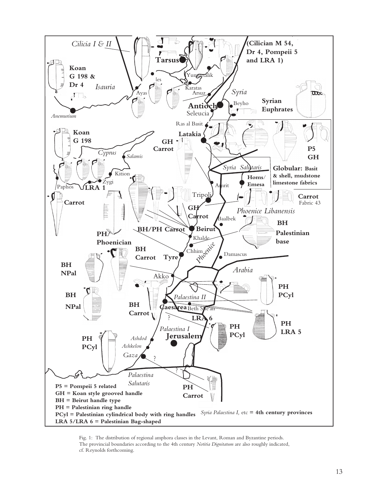

Fig. 1: The distribution of regional amphora classes in the Levant, Roman and Byzantine periods. The provincial boundaries according to the 4th century *Notitia Dignitatum* are also roughly indicated, cf. Reynolds forthcoming.